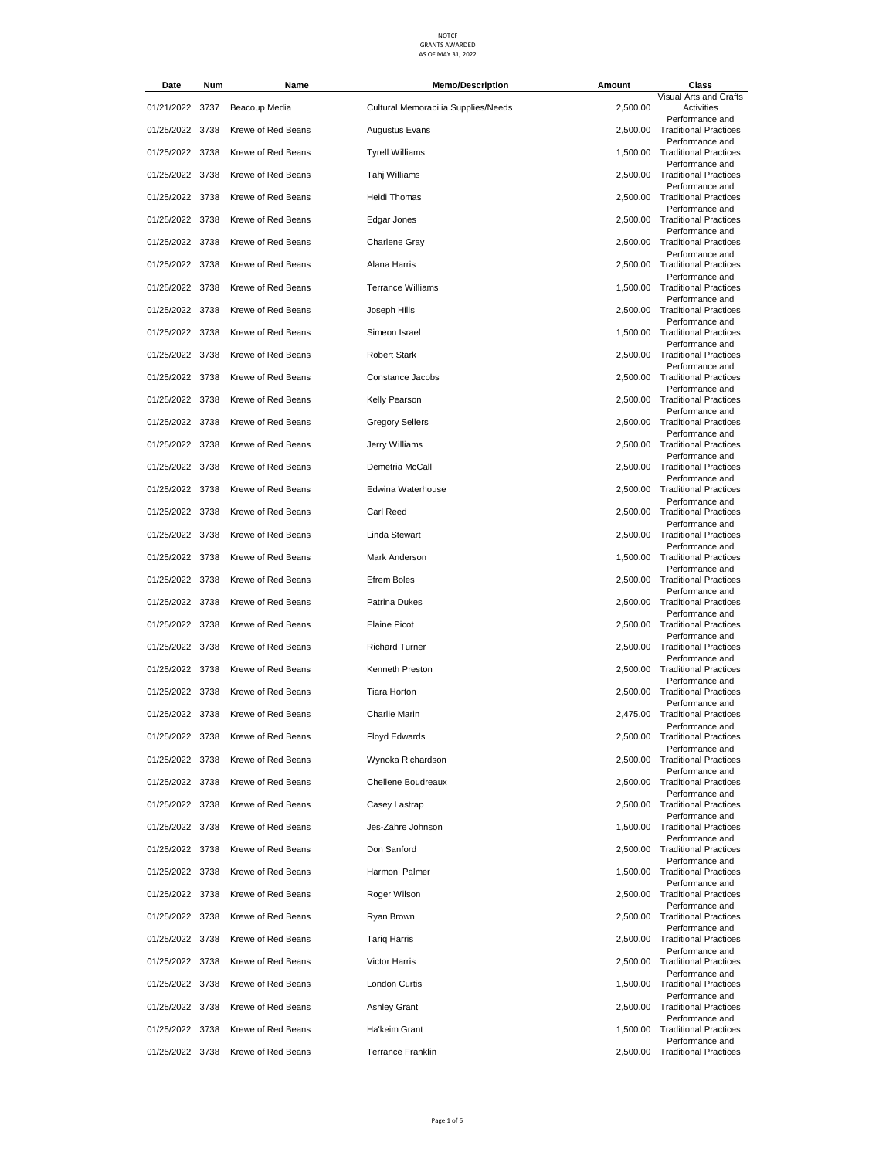| Date            | Num | Name               | <b>Memo/Description</b>             | Amount   | Class                                             |
|-----------------|-----|--------------------|-------------------------------------|----------|---------------------------------------------------|
| 01/21/2022 3737 |     | Beacoup Media      | Cultural Memorabilia Supplies/Needs | 2,500.00 | Visual Arts and Crafts<br>Activities              |
| 01/25/2022 3738 |     | Krewe of Red Beans | <b>Augustus Evans</b>               |          | Performance and<br>2,500.00 Traditional Practices |
| 01/25/2022 3738 |     | Krewe of Red Beans | <b>Tyrell Williams</b>              |          | Performance and<br>1,500.00 Traditional Practices |
| 01/25/2022 3738 |     | Krewe of Red Beans | Tahj Williams                       |          | Performance and<br>2.500.00 Traditional Practices |
| 01/25/2022 3738 |     | Krewe of Red Beans | Heidi Thomas                        |          | Performance and<br>2,500.00 Traditional Practices |
| 01/25/2022 3738 |     | Krewe of Red Beans | Edgar Jones                         |          | Performance and<br>2,500.00 Traditional Practices |
| 01/25/2022 3738 |     | Krewe of Red Beans | Charlene Gray                       |          | Performance and<br>2,500.00 Traditional Practices |
| 01/25/2022 3738 |     | Krewe of Red Beans | Alana Harris                        |          | Performance and<br>2,500.00 Traditional Practices |
| 01/25/2022 3738 |     | Krewe of Red Beans | <b>Terrance Williams</b>            |          | Performance and<br>1,500.00 Traditional Practices |
| 01/25/2022 3738 |     | Krewe of Red Beans | Joseph Hills                        |          | Performance and<br>2,500.00 Traditional Practices |
| 01/25/2022 3738 |     | Krewe of Red Beans | Simeon Israel                       |          | Performance and<br>1,500.00 Traditional Practices |
| 01/25/2022 3738 |     | Krewe of Red Beans | <b>Robert Stark</b>                 |          | Performance and<br>2,500.00 Traditional Practices |
| 01/25/2022 3738 |     | Krewe of Red Beans | Constance Jacobs                    | 2,500.00 | Performance and<br><b>Traditional Practices</b>   |
| 01/25/2022 3738 |     | Krewe of Red Beans | Kelly Pearson                       |          | Performance and<br>2,500.00 Traditional Practices |
| 01/25/2022 3738 |     | Krewe of Red Beans | <b>Gregory Sellers</b>              |          | Performance and<br>2,500.00 Traditional Practices |
| 01/25/2022 3738 |     | Krewe of Red Beans | Jerry Williams                      |          | Performance and<br>2,500.00 Traditional Practices |
| 01/25/2022 3738 |     | Krewe of Red Beans | Demetria McCall                     | 2,500.00 | Performance and<br><b>Traditional Practices</b>   |
| 01/25/2022 3738 |     | Krewe of Red Beans | Edwina Waterhouse                   |          | Performance and<br>2,500.00 Traditional Practices |
| 01/25/2022 3738 |     | Krewe of Red Beans | Carl Reed                           |          | Performance and<br>2,500.00 Traditional Practices |
| 01/25/2022 3738 |     | Krewe of Red Beans | Linda Stewart                       |          | Performance and<br>2,500.00 Traditional Practices |
| 01/25/2022 3738 |     | Krewe of Red Beans | Mark Anderson                       |          | Performance and<br>1,500.00 Traditional Practices |
| 01/25/2022 3738 |     | Krewe of Red Beans | <b>Efrem Boles</b>                  |          | Performance and<br>2,500.00 Traditional Practices |
|                 |     |                    |                                     |          | Performance and                                   |
| 01/25/2022 3738 |     | Krewe of Red Beans | Patrina Dukes                       |          | 2,500.00 Traditional Practices<br>Performance and |
| 01/25/2022 3738 |     | Krewe of Red Beans | <b>Elaine Picot</b>                 | 2,500.00 | <b>Traditional Practices</b><br>Performance and   |
| 01/25/2022 3738 |     | Krewe of Red Beans | <b>Richard Turner</b>               |          | 2,500.00 Traditional Practices<br>Performance and |
| 01/25/2022 3738 |     | Krewe of Red Beans | Kenneth Preston                     |          | 2.500.00 Traditional Practices<br>Performance and |
| 01/25/2022 3738 |     | Krewe of Red Beans | <b>Tiara Horton</b>                 |          | 2,500.00 Traditional Practices<br>Performance and |
| 01/25/2022 3738 |     | Krewe of Red Beans | Charlie Marin                       |          | 2,475.00 Traditional Practices<br>Performance and |
| 01/25/2022 3738 |     | Krewe of Red Beans | Floyd Edwards                       |          | 2,500.00 Traditional Practices<br>Performance and |
| 01/25/2022 3738 |     | Krewe of Red Beans | Wynoka Richardson                   |          | 2,500.00 Traditional Practices<br>Performance and |
| 01/25/2022 3738 |     | Krewe of Red Beans | Chellene Boudreaux                  |          | 2,500.00 Traditional Practices<br>Performance and |
| 01/25/2022 3738 |     | Krewe of Red Beans | Casey Lastrap                       |          | 2,500.00 Traditional Practices<br>Performance and |
| 01/25/2022 3738 |     | Krewe of Red Beans | Jes-Zahre Johnson                   | 1,500.00 | <b>Traditional Practices</b><br>Performance and   |
| 01/25/2022 3738 |     | Krewe of Red Beans | Don Sanford                         |          | 2,500.00 Traditional Practices<br>Performance and |
| 01/25/2022 3738 |     | Krewe of Red Beans | Harmoni Palmer                      |          | 1,500.00 Traditional Practices<br>Performance and |
| 01/25/2022 3738 |     | Krewe of Red Beans | Roger Wilson                        |          | 2,500.00 Traditional Practices<br>Performance and |
| 01/25/2022 3738 |     | Krewe of Red Beans | Ryan Brown                          |          | 2,500.00 Traditional Practices<br>Performance and |
| 01/25/2022 3738 |     | Krewe of Red Beans | <b>Tariq Harris</b>                 |          | 2,500.00 Traditional Practices<br>Performance and |
| 01/25/2022 3738 |     | Krewe of Red Beans | <b>Victor Harris</b>                |          | 2,500.00 Traditional Practices<br>Performance and |
| 01/25/2022 3738 |     | Krewe of Red Beans | London Curtis                       |          | 1,500.00 Traditional Practices<br>Performance and |
| 01/25/2022 3738 |     | Krewe of Red Beans | <b>Ashley Grant</b>                 |          | 2,500.00 Traditional Practices<br>Performance and |
| 01/25/2022 3738 |     | Krewe of Red Beans | Ha'keim Grant                       | 1,500.00 | <b>Traditional Practices</b>                      |
| 01/25/2022 3738 |     | Krewe of Red Beans | <b>Terrance Franklin</b>            |          | Performance and<br>2,500.00 Traditional Practices |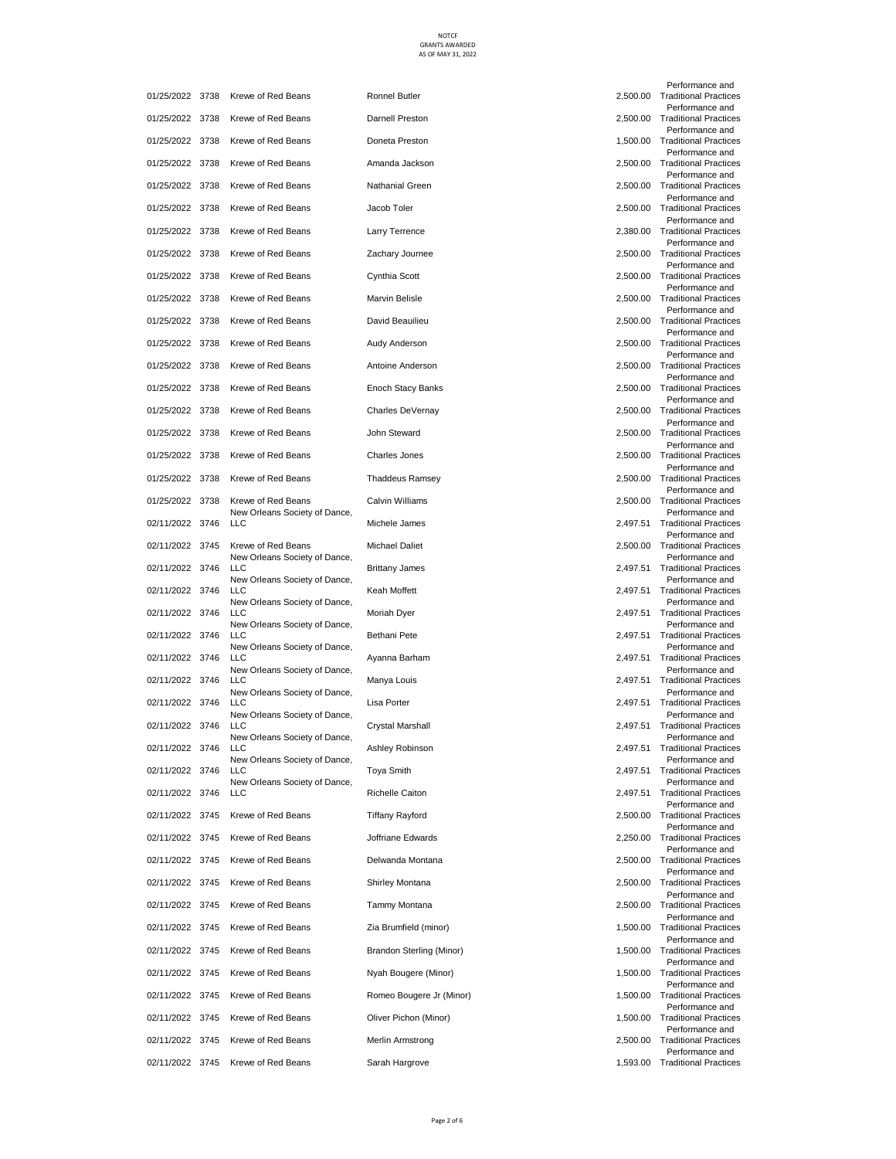| 01/25/2022 3738 |      | Krewe of Red Beans                                                           | Ronnel Butler            | 2,500.00 |
|-----------------|------|------------------------------------------------------------------------------|--------------------------|----------|
| 01/25/2022 3738 |      | Krewe of Red Beans                                                           | Darnell Preston          | 2,500.00 |
| 01/25/2022 3738 |      | Krewe of Red Beans                                                           | Doneta Preston           | 1,500.00 |
| 01/25/2022 3738 |      | Krewe of Red Beans                                                           | Amanda Jackson           | 2,500.00 |
| 01/25/2022 3738 |      | Krewe of Red Beans                                                           | Nathanial Green          | 2,500.00 |
| 01/25/2022 3738 |      | Krewe of Red Beans                                                           | Jacob Toler              | 2,500.00 |
| 01/25/2022 3738 |      | Krewe of Red Beans                                                           | Larry Terrence           | 2,380.00 |
| 01/25/2022 3738 |      | Krewe of Red Beans                                                           | Zachary Journee          | 2,500.00 |
| 01/25/2022 3738 |      | Krewe of Red Beans                                                           | Cynthia Scott            | 2,500.00 |
| 01/25/2022 3738 |      | Krewe of Red Beans                                                           | Marvin Belisle           | 2,500.00 |
| 01/25/2022 3738 |      | Krewe of Red Beans                                                           | David Beauilieu          | 2,500.00 |
| 01/25/2022 3738 |      | Krewe of Red Beans                                                           | Audy Anderson            | 2,500.00 |
| 01/25/2022 3738 |      | Krewe of Red Beans                                                           | Antoine Anderson         | 2,500.00 |
| 01/25/2022 3738 |      | Krewe of Red Beans                                                           | Enoch Stacy Banks        | 2,500.00 |
| 01/25/2022 3738 |      | Krewe of Red Beans                                                           | Charles DeVernay         | 2,500.00 |
| 01/25/2022 3738 |      | Krewe of Red Beans                                                           | John Steward             | 2,500.00 |
| 01/25/2022 3738 |      | Krewe of Red Beans                                                           | Charles Jones            | 2,500.00 |
| 01/25/2022 3738 |      | Krewe of Red Beans                                                           | Thaddeus Ramsey          | 2,500.00 |
| 01/25/2022 3738 |      | Krewe of Red Beans                                                           | Calvin Williams          | 2,500.00 |
| 02/11/2022 3746 |      | New Orleans Society of Dance,<br>LLC                                         | Michele James            | 2,497.51 |
| 02/11/2022 3745 |      | Krewe of Red Beans                                                           | <b>Michael Daliet</b>    | 2,500.00 |
| 02/11/2022 3746 |      | New Orleans Society of Dance,<br>LLC                                         | <b>Brittany James</b>    | 2,497.51 |
| 02/11/2022 3746 |      | New Orleans Society of Dance,<br>LLC                                         | Keah Moffett             | 2,497.51 |
| 02/11/2022      | 3746 | New Orleans Society of Dance,<br>LLC                                         | Moriah Dyer              | 2,497.51 |
| 02/11/2022 3746 |      | New Orleans Society of Dance,<br>LLC                                         | Bethani Pete             | 2,497.51 |
| 02/11/2022 3746 |      | New Orleans Society of Dance,<br><b>LLC</b>                                  | Ayanna Barham            | 2,497.51 |
| 02/11/2022 3746 |      | New Orleans Society of Dance,<br><b>LLC</b><br>New Orleans Society of Dance, | Manya Louis              | 2,497.51 |
| 02/11/2022 3746 |      | LLC<br>New Orleans Society of Dance,                                         | Lisa Porter              | 2,497.51 |
| 02/11/2022 3746 |      | LLC                                                                          | Crystal Marshall         | 2,497.51 |
| 02/11/2022      | 3746 | New Orleans Society of Dance,<br>LLC<br>New Orleans Society of Dance,        | Ashley Robinson          | 2,497.51 |
| 02/11/2022      | 3746 | LLC<br>New Orleans Society of Dance,                                         | Toya Smith               | 2,497.51 |
| 02/11/2022 3746 |      | LLC                                                                          | Richelle Caiton          | 2,497.51 |
| 02/11/2022 3745 |      | Krewe of Red Beans                                                           | <b>Tiffany Rayford</b>   | 2,500.00 |
| 02/11/2022 3745 |      | Krewe of Red Beans                                                           | Joffriane Edwards        | 2,250.00 |
| 02/11/2022 3745 |      | Krewe of Red Beans                                                           | Delwanda Montana         | 2,500.00 |
| 02/11/2022 3745 |      | Krewe of Red Beans                                                           | Shirley Montana          | 2,500.00 |
| 02/11/2022 3745 |      | Krewe of Red Beans                                                           | Tammy Montana            | 2,500.00 |
| 02/11/2022 3745 |      | Krewe of Red Beans                                                           | Zia Brumfield (minor)    | 1,500.00 |
| 02/11/2022 3745 |      | Krewe of Red Beans                                                           | Brandon Sterling (Minor) | 1,500.00 |
| 02/11/2022 3745 |      | Krewe of Red Beans                                                           | Nyah Bougere (Minor)     | 1,500.00 |
| 02/11/2022 3745 |      | Krewe of Red Beans                                                           | Romeo Bougere Jr (Minor) | 1,500.00 |
| 02/11/2022 3745 |      | Krewe of Red Beans                                                           | Oliver Pichon (Minor)    | 1,500.00 |
| 02/11/2022 3745 |      | Krewe of Red Beans                                                           | Merlin Armstrong         | 2,500.00 |
| 02/11/2022 3745 |      | Krewe of Red Beans                                                           | Sarah Hargrove           | 1,593.00 |

| 2,500.00 | Performance and<br><b>Traditional Practices</b> |
|----------|-------------------------------------------------|
| 2,500.00 | Performance and<br><b>Traditional Practices</b> |
| 1,500.00 | Performance and<br><b>Traditional Practices</b> |
| 2.500.00 | Performance and<br><b>Traditional Practices</b> |
|          | Performance and                                 |
| 2,500.00 | <b>Traditional Practices</b><br>Performance and |
| 2,500.00 | <b>Traditional Practices</b><br>Performance and |
| 2,380.00 | <b>Traditional Practices</b>                    |
| 2,500.00 | Performance and<br><b>Traditional Practices</b> |
| 2,500.00 | Performance and<br><b>Traditional Practices</b> |
| 2,500.00 | Performance and<br><b>Traditional Practices</b> |
| 2,500.00 | Performance and<br><b>Traditional Practices</b> |
| 2,500.00 | Performance and<br><b>Traditional Practices</b> |
| 2,500.00 | Performance and<br><b>Traditional Practices</b> |
| 2,500.00 | Performance and<br><b>Traditional Practices</b> |
| 2,500.00 | Performance and<br><b>Traditional Practices</b> |
| 2,500.00 | Performance and<br><b>Traditional Practices</b> |
| 2,500.00 | Performance and<br><b>Traditional Practices</b> |
| 2,500.00 | Performance and<br><b>Traditional Practices</b> |
| 2,500.00 | Performance and<br><b>Traditional Practices</b> |
|          | Performance and                                 |
| 2,497.51 | <b>Traditional Practices</b><br>Performance and |
| 2,500.00 | <b>Traditional Practices</b><br>Performance and |
| 2,497.51 | <b>Traditional Practices</b><br>Performance and |
| 2,497.51 | <b>Traditional Practices</b><br>Performance and |
| 2,497.51 | <b>Traditional Practices</b><br>Performance and |
| 2,497.51 | <b>Traditional Practices</b><br>Performance and |
| 2,497.51 | <b>Traditional Practices</b><br>Performance and |
| 2,497.51 | <b>Traditional Practices</b><br>Performance and |
| 2,497.51 | <b>Traditional Practices</b>                    |
| 2,497.51 | Performance and<br><b>Traditional Practices</b> |
| 2,497.51 | Performance and<br><b>Traditional Practices</b> |
| 2,497.51 | Performance and<br><b>Traditional Practices</b> |
| 2,497.51 | Performance and<br><b>Traditional Practices</b> |
| 2,500.00 | Performance and<br><b>Traditional Practices</b> |
| 2,250.00 | Performance and<br><b>Traditional Practices</b> |
| 2,500.00 | Performance and<br><b>Traditional Practices</b> |
| 2,500.00 | Performance and<br><b>Traditional Practices</b> |
| 2,500.00 | Performance and<br><b>Traditional Practices</b> |
| 1,500.00 | Performance and<br><b>Traditional Practices</b> |
| 1,500.00 | Performance and<br><b>Traditional Practices</b> |
| 1,500.00 | Performance and<br><b>Traditional Practices</b> |
| 1,500.00 | Performance and<br><b>Traditional Practices</b> |
|          | Performance and                                 |
| 1,500.00 | <b>Traditional Practices</b><br>Performance and |
| 2,500.00 | <b>Traditional Practices</b><br>Performance and |
| 1,593.00 | <b>Traditional Practices</b>                    |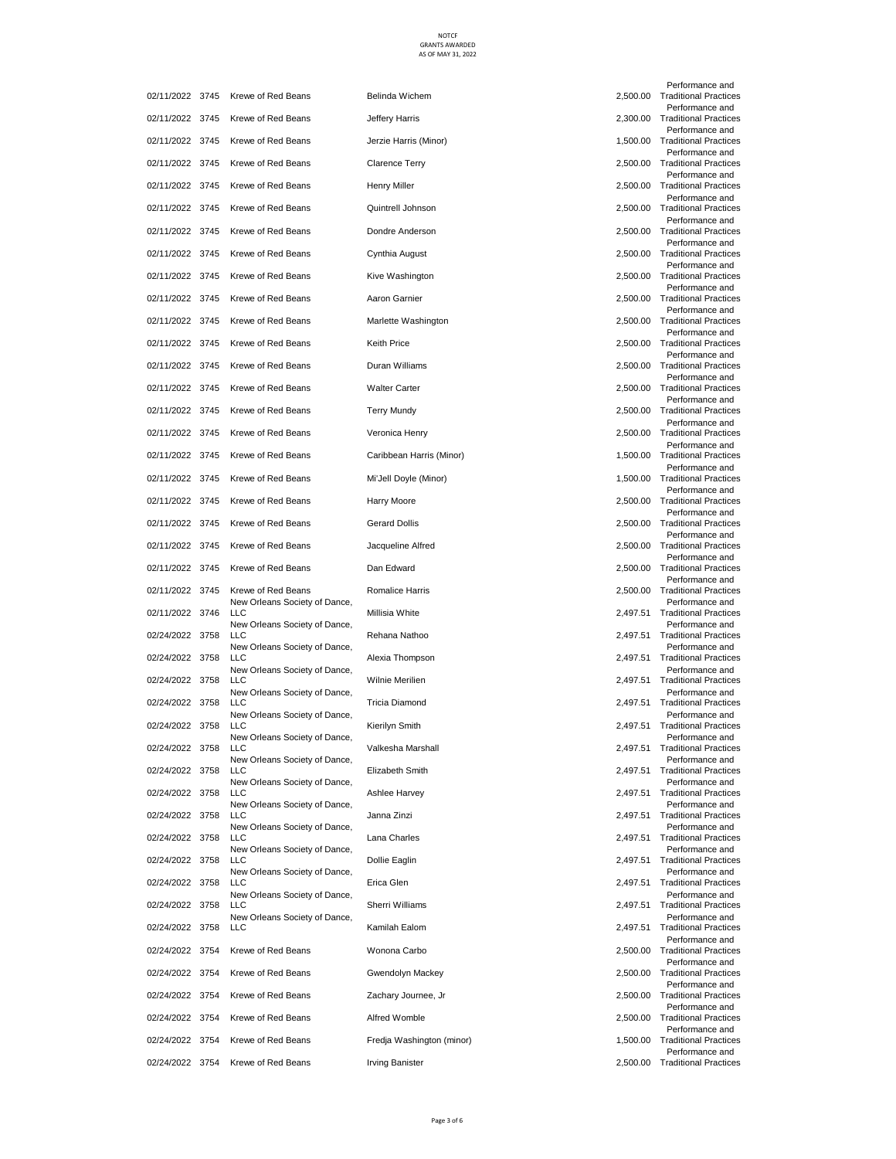| 02/11/2022 3745 |      | Krewe of Red Beans                                                    | Belinda Wichem            | 2,500.00 |
|-----------------|------|-----------------------------------------------------------------------|---------------------------|----------|
| 02/11/2022 3745 |      | Krewe of Red Beans                                                    | Jeffery Harris            | 2,300.00 |
| 02/11/2022 3745 |      | Krewe of Red Beans                                                    | Jerzie Harris (Minor)     | 1,500.00 |
| 02/11/2022 3745 |      | Krewe of Red Beans                                                    | Clarence Terry            | 2,500.00 |
| 02/11/2022 3745 |      | Krewe of Red Beans                                                    | <b>Henry Miller</b>       | 2,500.00 |
| 02/11/2022 3745 |      | Krewe of Red Beans                                                    | Quintrell Johnson         | 2,500.00 |
| 02/11/2022 3745 |      | Krewe of Red Beans                                                    | Dondre Anderson           | 2,500.00 |
| 02/11/2022 3745 |      | Krewe of Red Beans                                                    | Cynthia August            | 2,500.00 |
| 02/11/2022 3745 |      | Krewe of Red Beans                                                    | Kive Washington           | 2,500.00 |
| 02/11/2022 3745 |      | Krewe of Red Beans                                                    | Aaron Garnier             | 2,500.00 |
| 02/11/2022 3745 |      | Krewe of Red Beans                                                    | Marlette Washington       | 2,500.00 |
| 02/11/2022 3745 |      | Krewe of Red Beans                                                    | <b>Keith Price</b>        | 2,500.00 |
| 02/11/2022 3745 |      | Krewe of Red Beans                                                    | Duran Williams            | 2,500.00 |
| 02/11/2022 3745 |      | Krewe of Red Beans                                                    | <b>Walter Carter</b>      | 2,500.00 |
| 02/11/2022 3745 |      | Krewe of Red Beans                                                    | Terry Mundy               | 2,500.00 |
| 02/11/2022 3745 |      | Krewe of Red Beans                                                    | Veronica Henry            | 2,500.00 |
| 02/11/2022 3745 |      | Krewe of Red Beans                                                    | Caribbean Harris (Minor)  | 1,500.00 |
| 02/11/2022 3745 |      | Krewe of Red Beans                                                    | Mi'Jell Doyle (Minor)     | 1,500.00 |
| 02/11/2022 3745 |      | Krewe of Red Beans                                                    | Harry Moore               | 2,500.00 |
| 02/11/2022 3745 |      | Krewe of Red Beans                                                    | <b>Gerard Dollis</b>      | 2,500.00 |
| 02/11/2022 3745 |      | Krewe of Red Beans                                                    | Jacqueline Alfred         | 2,500.00 |
| 02/11/2022 3745 |      | Krewe of Red Beans                                                    | Dan Edward                | 2,500.00 |
| 02/11/2022 3745 |      | Krewe of Red Beans                                                    | Romalice Harris           | 2,500.00 |
| 02/11/2022 3746 |      | New Orleans Society of Dance,<br>LLC                                  | Millisia White            | 2,497.51 |
| 02/24/2022 3758 |      | New Orleans Society of Dance,<br><b>LLC</b>                           | Rehana Nathoo             | 2,497.51 |
| 02/24/2022 3758 |      | New Orleans Society of Dance,<br>LLC<br>New Orleans Society of Dance, | Alexia Thompson           | 2,497.51 |
| 02/24/2022 3758 |      | <b>LLC</b>                                                            | Wilnie Merilien           | 2,497.51 |
| 02/24/2022 3758 |      | New Orleans Society of Dance,<br><b>LLC</b>                           | Tricia Diamond            | 2,497.51 |
| 02/24/2022 3758 |      | New Orleans Society of Dance,<br><b>LLC</b>                           | Kierilyn Smith            | 2,497.51 |
| 02/24/2022 3758 |      | New Orleans Society of Dance,<br>LLC                                  | Valkesha Marshall         | 2,497.51 |
| 02/24/2022      | 3758 | New Orleans Society of Dance,<br>LLC<br>New Orleans Society of Dance, | Elizabeth Smith           | 2,497.51 |
| 02/24/2022 3758 |      | <b>LLC</b><br>New Orleans Society of Dance,                           | Ashlee Harvey             | 2,497.51 |
| 02/24/2022 3758 |      | <b>LLC</b><br>New Orleans Society of Dance,                           | Janna Zinzi               | 2,497.51 |
| 02/24/2022 3758 |      | <b>LLC</b><br>New Orleans Society of Dance,                           | Lana Charles              | 2,497.51 |
| 02/24/2022      | 3758 | LLC<br>New Orleans Society of Dance,                                  | Dollie Eaglin             | 2,497.51 |
| 02/24/2022 3758 |      | <b>LLC</b><br>New Orleans Society of Dance,                           | Erica Glen                | 2,497.51 |
| 02/24/2022 3758 |      | <b>LLC</b><br>New Orleans Society of Dance,                           | Sherri Williams           | 2,497.51 |
| 02/24/2022      | 3758 | <b>LLC</b>                                                            | Kamilah Ealom             | 2,497.51 |
| 02/24/2022 3754 |      | Krewe of Red Beans                                                    | Wonona Carbo              | 2,500.00 |
| 02/24/2022 3754 |      | Krewe of Red Beans                                                    | Gwendolyn Mackey          | 2,500.00 |
| 02/24/2022 3754 |      | Krewe of Red Beans                                                    | Zachary Journee, Jr       | 2,500.00 |
| 02/24/2022 3754 |      | Krewe of Red Beans                                                    | Alfred Womble             | 2,500.00 |
| 02/24/2022 3754 |      | Krewe of Red Beans                                                    | Fredja Washington (minor) | 1,500.00 |
| 02/24/2022 3754 |      | Krewe of Red Beans                                                    | Irving Banister           | 2,500.00 |

| Krewe of Red Beans                   | Belinda Wichem            | 2,500.00 |
|--------------------------------------|---------------------------|----------|
| Krewe of Red Beans                   | Jeffery Harris            | 2,300.00 |
| Krewe of Red Beans                   | Jerzie Harris (Minor)     | 1,500.00 |
| Krewe of Red Beans                   | <b>Clarence Terry</b>     | 2,500.00 |
| Krewe of Red Beans                   | Henry Miller              | 2,500.00 |
| Krewe of Red Beans                   | Quintrell Johnson         | 2,500.00 |
| Krewe of Red Beans                   | Dondre Anderson           | 2,500.00 |
| Krewe of Red Beans                   | Cynthia August            | 2,500.00 |
| Krewe of Red Beans                   | Kive Washington           | 2,500.00 |
| Krewe of Red Beans                   | Aaron Garnier             | 2,500.00 |
| Krewe of Red Beans                   | Marlette Washington       | 2,500.00 |
| Krewe of Red Beans                   | Keith Price               | 2,500.00 |
| Krewe of Red Beans                   | Duran Williams            | 2,500.00 |
| Krewe of Red Beans                   | <b>Walter Carter</b>      | 2,500.00 |
| Krewe of Red Beans                   | <b>Terry Mundy</b>        | 2,500.00 |
| Krewe of Red Beans                   | Veronica Henry            | 2,500.00 |
| Krewe of Red Beans                   | Caribbean Harris (Minor)  | 1,500.00 |
| Krewe of Red Beans                   | Mi'Jell Doyle (Minor)     | 1,500.00 |
| Krewe of Red Beans                   | Harry Moore               | 2,500.00 |
| Krewe of Red Beans                   | <b>Gerard Dollis</b>      | 2,500.00 |
| Krewe of Red Beans                   | Jacqueline Alfred         | 2,500.00 |
| Krewe of Red Beans                   | Dan Edward                | 2,500.00 |
| Krewe of Red Beans                   | Romalice Harris           | 2,500.00 |
| New Orleans Society of Dance,<br>LLC | Millisia White            | 2,497.51 |
| New Orleans Society of Dance,<br>LLC | Rehana Nathoo             | 2,497.51 |
| New Orleans Society of Dance,<br>LLC | Alexia Thompson           | 2,497.51 |
| New Orleans Society of Dance,<br>LLC | Wilnie Merilien           | 2,497.51 |
| New Orleans Society of Dance,<br>LLC | <b>Tricia Diamond</b>     | 2,497.51 |
| New Orleans Society of Dance,<br>LLC | Kierilyn Smith            | 2,497.51 |
| New Orleans Society of Dance,<br>LLC | Valkesha Marshall         | 2,497.51 |
| New Orleans Society of Dance,<br>LLC | Elizabeth Smith           | 2,497.51 |
| New Orleans Society of Dance,<br>LLC | Ashlee Harvey             | 2,497.51 |
| New Orleans Society of Dance,<br>LLC | Janna Zinzi               | 2,497.51 |
| New Orleans Society of Dance,<br>LLC | Lana Charles              | 2,497.51 |
| New Orleans Society of Dance,<br>LLC | Dollie Eaglin             | 2,497.51 |
| New Orleans Society of Dance,<br>LLC | Erica Glen                | 2,497.51 |
| New Orleans Society of Dance,<br>LLC | Sherri Williams           | 2,497.51 |
| New Orleans Society of Dance,<br>LLC | Kamilah Ealom             | 2,497.51 |
| Krewe of Red Beans                   | Wonona Carbo              | 2,500.00 |
| Krewe of Red Beans                   | Gwendolyn Mackey          | 2,500.00 |
| Krewe of Red Beans                   | Zachary Journee, Jr       | 2,500.00 |
| Krewe of Red Beans                   | Alfred Womble             | 2,500.00 |
| Krewe of Red Beans                   | Fredja Washington (minor) | 1,500.00 |
| Krewe of Red Beans                   | <b>Irving Banister</b>    | 2,500.00 |

| 2,500.00 | Performance and<br><b>Traditional Practices</b> |
|----------|-------------------------------------------------|
|          | Performance and                                 |
| 2,300.00 | <b>Traditional Practices</b><br>Performance and |
| 1,500.00 | <b>Traditional Practices</b><br>Performance and |
| 2,500.00 | <b>Traditional Practices</b>                    |
| 2,500.00 | Performance and<br><b>Traditional Practices</b> |
| 2,500.00 | Performance and<br><b>Traditional Practices</b> |
|          | Performance and<br><b>Traditional Practices</b> |
| 2,500.00 | Performance and                                 |
| 2,500.00 | <b>Traditional Practices</b><br>Performance and |
| 2,500.00 | <b>Traditional Practices</b><br>Performance and |
| 2,500.00 | <b>Traditional Practices</b><br>Performance and |
| 2,500.00 | <b>Traditional Practices</b>                    |
| 2,500.00 | Performance and<br><b>Traditional Practices</b> |
| 2,500.00 | Performance and<br><b>Traditional Practices</b> |
| 2,500.00 | Performance and<br><b>Traditional Practices</b> |
| 2,500.00 | Performance and<br><b>Traditional Practices</b> |
|          | Performance and                                 |
| 2,500.00 | <b>Traditional Practices</b><br>Performance and |
| 1,500.00 | <b>Traditional Practices</b><br>Performance and |
| 1,500.00 | <b>Traditional Practices</b><br>Performance and |
| 2,500.00 | <b>Traditional Practices</b>                    |
| 2,500.00 | Performance and<br><b>Traditional Practices</b> |
| 2,500.00 | Performance and<br><b>Traditional Practices</b> |
| 2,500.00 | Performance and<br><b>Traditional Practices</b> |
| 2,500.00 | Performance and<br><b>Traditional Practices</b> |
| 2,497.51 | Performance and<br><b>Traditional Practices</b> |
| 2,497.51 | Performance and<br><b>Traditional Practices</b> |
| 2,497.51 | Performance and<br><b>Traditional Practices</b> |
|          | Performance and                                 |
| 2,497.51 | <b>Traditional Practices</b><br>Performance and |
| 2.497.51 | <b>Traditional Practices</b><br>Performance and |
| 2,497.51 | <b>Traditional Practices</b><br>Performance and |
| 2,497.51 | <b>Traditional Practices</b>                    |
| 2,497.51 | Performance and<br><b>Traditional Practices</b> |
| 2,497.51 | Performance and<br><b>Traditional Practices</b> |
| 2,497.51 | Performance and<br><b>Traditional Practices</b> |
| 2,497.51 | Performance and<br><b>Traditional Practices</b> |
| 2,497.51 | Performance and<br><b>Traditional Practices</b> |
| 2,497.51 | Performance and<br><b>Traditional Practices</b> |
|          | Performance and                                 |
| 2,497.51 | <b>Traditional Practices</b><br>Performance and |
| 2,497.51 | <b>Traditional Practices</b><br>Performance and |
| 2,500.00 | <b>Traditional Practices</b><br>Performance and |
| 2,500.00 | <b>Traditional Practices</b><br>Performance and |
| 2,500.00 | <b>Traditional Practices</b>                    |
| 2,500.00 | Performance and<br><b>Traditional Practices</b> |
|          | Performance and                                 |
| 1,500.00 | <b>Traditional Practices</b>                    |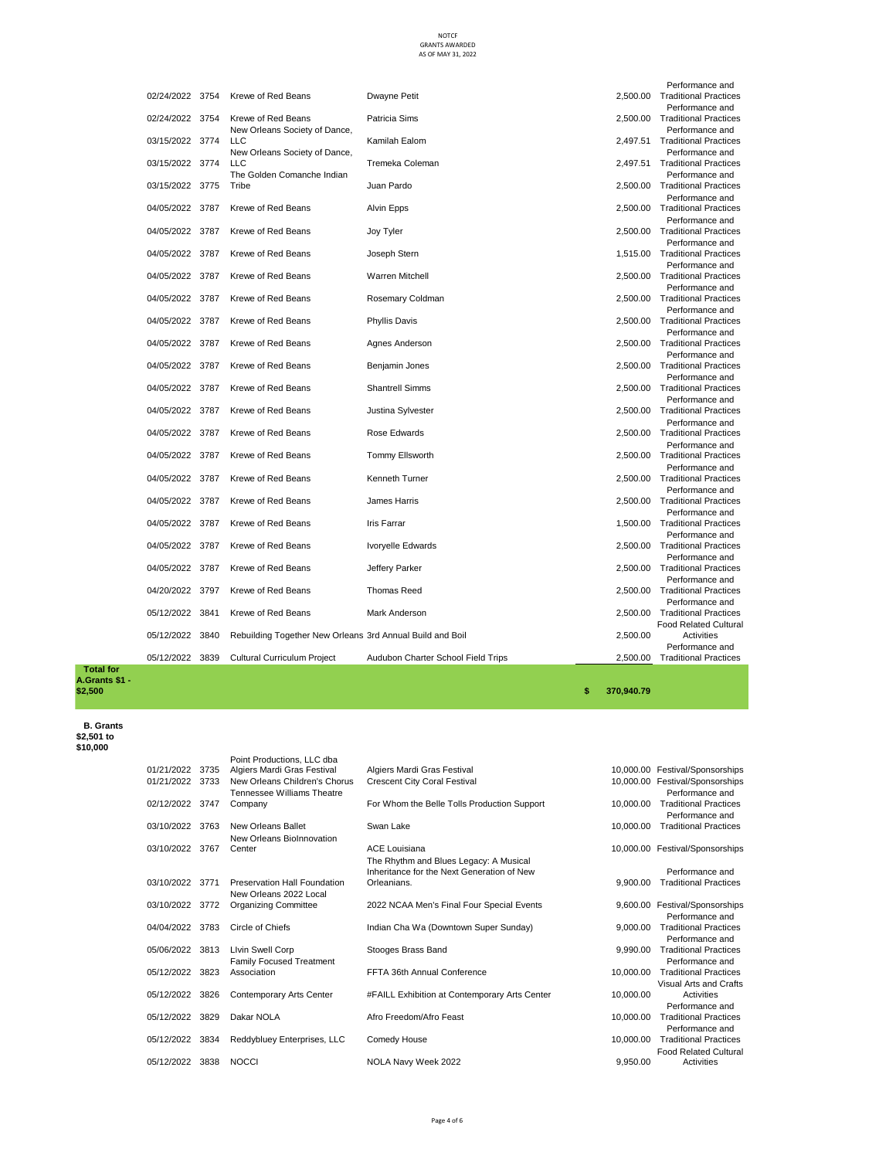|                 |      |                                                           |                                    |          | Performance and                |
|-----------------|------|-----------------------------------------------------------|------------------------------------|----------|--------------------------------|
| 02/24/2022 3754 |      | Krewe of Red Beans                                        | Dwayne Petit                       | 2.500.00 | <b>Traditional Practices</b>   |
|                 |      |                                                           |                                    |          | Performance and                |
| 02/24/2022 3754 |      | Krewe of Red Beans                                        | Patricia Sims                      | 2.500.00 | <b>Traditional Practices</b>   |
|                 |      | New Orleans Society of Dance,                             |                                    |          | Performance and                |
| 03/15/2022 3774 |      | <b>LLC</b>                                                | Kamilah Ealom                      | 2.497.51 | <b>Traditional Practices</b>   |
|                 |      | New Orleans Society of Dance,                             |                                    |          | Performance and                |
| 03/15/2022 3774 |      | LLC                                                       | Tremeka Coleman                    |          | 2.497.51 Traditional Practices |
|                 |      | The Golden Comanche Indian                                |                                    |          | Performance and                |
| 03/15/2022 3775 |      | Tribe                                                     | Juan Pardo                         |          | 2.500.00 Traditional Practices |
|                 |      |                                                           |                                    |          | Performance and                |
| 04/05/2022 3787 |      | Krewe of Red Beans                                        | Alvin Epps                         |          | 2,500.00 Traditional Practices |
|                 |      |                                                           |                                    |          | Performance and                |
| 04/05/2022 3787 |      | Krewe of Red Beans                                        | Joy Tyler                          | 2.500.00 | <b>Traditional Practices</b>   |
|                 |      |                                                           |                                    |          | Performance and                |
| 04/05/2022 3787 |      | Krewe of Red Beans                                        | Joseph Stern                       |          | 1,515.00 Traditional Practices |
|                 |      |                                                           |                                    |          | Performance and                |
| 04/05/2022 3787 |      | Krewe of Red Beans                                        | <b>Warren Mitchell</b>             | 2.500.00 | <b>Traditional Practices</b>   |
|                 |      |                                                           |                                    |          | Performance and                |
| 04/05/2022 3787 |      | Krewe of Red Beans                                        | Rosemary Coldman                   | 2.500.00 | <b>Traditional Practices</b>   |
|                 |      |                                                           |                                    |          | Performance and                |
| 04/05/2022 3787 |      | Krewe of Red Beans                                        | <b>Phyllis Davis</b>               |          | 2.500.00 Traditional Practices |
|                 |      |                                                           |                                    |          | Performance and                |
| 04/05/2022 3787 |      | Krewe of Red Beans                                        | Agnes Anderson                     |          | 2.500.00 Traditional Practices |
|                 |      |                                                           |                                    |          | Performance and                |
| 04/05/2022 3787 |      | Krewe of Red Beans                                        | Benjamin Jones                     |          | 2,500.00 Traditional Practices |
|                 |      |                                                           |                                    |          | Performance and                |
| 04/05/2022 3787 |      | Krewe of Red Beans                                        | <b>Shantrell Simms</b>             |          | 2.500.00 Traditional Practices |
|                 |      |                                                           |                                    |          | Performance and                |
| 04/05/2022 3787 |      | Krewe of Red Beans                                        | Justina Sylvester                  |          | 2,500.00 Traditional Practices |
|                 |      |                                                           |                                    |          | Performance and                |
| 04/05/2022 3787 |      | Krewe of Red Beans                                        | Rose Edwards                       | 2.500.00 | <b>Traditional Practices</b>   |
|                 |      |                                                           |                                    |          | Performance and                |
| 04/05/2022 3787 |      | Krewe of Red Beans                                        | <b>Tommy Ellsworth</b>             | 2,500.00 | <b>Traditional Practices</b>   |
|                 |      |                                                           |                                    |          | Performance and                |
| 04/05/2022 3787 |      | Krewe of Red Beans                                        | <b>Kenneth Turner</b>              | 2.500.00 | <b>Traditional Practices</b>   |
|                 |      |                                                           |                                    |          | Performance and                |
| 04/05/2022 3787 |      | Krewe of Red Beans                                        | James Harris                       |          | 2,500.00 Traditional Practices |
|                 |      |                                                           |                                    |          | Performance and                |
| 04/05/2022 3787 |      | Krewe of Red Beans                                        | <b>Iris Farrar</b>                 |          | 1,500.00 Traditional Practices |
|                 |      |                                                           |                                    |          | Performance and                |
| 04/05/2022 3787 |      | Krewe of Red Beans                                        | Ivoryelle Edwards                  |          | 2,500.00 Traditional Practices |
|                 |      |                                                           |                                    |          | Performance and                |
| 04/05/2022 3787 |      | Krewe of Red Beans                                        | Jeffery Parker                     |          | 2,500.00 Traditional Practices |
|                 |      |                                                           |                                    |          | Performance and                |
| 04/20/2022 3797 |      | Krewe of Red Beans                                        | <b>Thomas Reed</b>                 |          | 2,500.00 Traditional Practices |
|                 |      |                                                           |                                    |          | Performance and                |
| 05/12/2022      | 3841 | Krewe of Red Beans                                        | <b>Mark Anderson</b>               | 2.500.00 | <b>Traditional Practices</b>   |
|                 |      |                                                           |                                    |          | <b>Food Related Cultural</b>   |
| 05/12/2022      | 3840 | Rebuilding Together New Orleans 3rd Annual Build and Boil |                                    | 2,500.00 | Activities                     |
|                 |      |                                                           |                                    |          | Performance and                |
| 05/12/2022 3839 |      | Cultural Curriculum Project                               | Audubon Charter School Field Trips | 2.500.00 | <b>Traditional Practices</b>   |
|                 |      |                                                           |                                    |          |                                |

 **Total for A.Grants \$1 -** 

 **B. Grants \$2,501 to \$10,000**

|                 |      | Point Productions. LLC dba                            |                                               |           |                                                   |
|-----------------|------|-------------------------------------------------------|-----------------------------------------------|-----------|---------------------------------------------------|
| 01/21/2022      | 3735 | Algiers Mardi Gras Festival                           | Algiers Mardi Gras Festival                   |           | 10,000.00 Festival/Sponsorships                   |
| 01/21/2022      | 3733 | New Orleans Children's Chorus                         | <b>Crescent City Coral Festival</b>           |           | 10,000.00 Festival/Sponsorships                   |
|                 |      | Tennessee Williams Theatre                            |                                               |           | Performance and                                   |
| 02/12/2022 3747 |      | Company                                               | For Whom the Belle Tolls Production Support   | 10.000.00 | <b>Traditional Practices</b>                      |
|                 |      |                                                       |                                               |           | Performance and                                   |
| 03/10/2022      | 3763 | New Orleans Ballet                                    | Swan Lake                                     | 10.000.00 | <b>Traditional Practices</b>                      |
|                 |      | New Orleans BioInnovation                             |                                               |           |                                                   |
| 03/10/2022 3767 |      | Center                                                | <b>ACE Louisiana</b>                          |           | 10,000.00 Festival/Sponsorships                   |
|                 |      |                                                       | The Rhythm and Blues Legacy: A Musical        |           |                                                   |
|                 |      |                                                       | Inheritance for the Next Generation of New    |           | Performance and                                   |
| 03/10/2022      | 3771 | Preservation Hall Foundation                          | Orleanians.                                   | 9.900.00  | <b>Traditional Practices</b>                      |
| 03/10/2022 3772 |      | New Orleans 2022 Local<br><b>Organizing Committee</b> | 2022 NCAA Men's Final Four Special Events     |           |                                                   |
|                 |      |                                                       |                                               |           | 9,600.00 Festival/Sponsorships<br>Performance and |
| 04/04/2022      | 3783 | Circle of Chiefs                                      | Indian Cha Wa (Downtown Super Sunday)         | 9.000.00  | <b>Traditional Practices</b>                      |
|                 |      |                                                       |                                               |           | Performance and                                   |
| 05/06/2022      | 3813 | <b>Livin Swell Corp</b>                               | Stooges Brass Band                            | 9.990.00  | <b>Traditional Practices</b>                      |
|                 |      | <b>Family Focused Treatment</b>                       |                                               |           | Performance and                                   |
| 05/12/2022 3823 |      | Association                                           | FFTA 36th Annual Conference                   | 10.000.00 | <b>Traditional Practices</b>                      |
|                 |      |                                                       |                                               |           | Visual Arts and Crafts                            |
| 05/12/2022      | 3826 | Contemporary Arts Center                              | #FAILL Exhibition at Contemporary Arts Center | 10.000.00 | Activities                                        |
|                 |      |                                                       |                                               |           | Performance and                                   |
| 05/12/2022      | 3829 | Dakar NOLA                                            | Afro Freedom/Afro Feast                       | 10.000.00 | <b>Traditional Practices</b>                      |
|                 |      |                                                       |                                               |           | Performance and                                   |
| 05/12/2022      | 3834 | Reddybluey Enterprises, LLC                           | Comedy House                                  | 10.000.00 | <b>Traditional Practices</b>                      |
|                 |      |                                                       |                                               |           | <b>Food Related Cultural</b>                      |
| 05/12/2022      | 3838 | <b>NOCCI</b>                                          | NOLA Navy Week 2022                           | 9.950.00  | Activities                                        |
|                 |      |                                                       |                                               |           |                                                   |

| 10.000.00 | Festival/Sponsorships                           |
|-----------|-------------------------------------------------|
| 10,000.00 | Festival/Sponsorships<br>Performance and        |
| 10,000.00 | <b>Traditional Practices</b>                    |
| 10,000.00 | Performance and<br><b>Traditional Practices</b> |
| 10.000.00 | Festival/Sponsorships                           |
|           | Performance and                                 |
| 9.900.00  | <b>Traditional Practices</b>                    |
| 9.600.00  | Festival/Sponsorships                           |
|           | Performance and                                 |
| 9,000.00  | <b>Traditional Practices</b>                    |
|           | Performance and                                 |
| 9,990.00  | <b>Traditional Practices</b>                    |
|           | Performance and                                 |
| 10,000.00 | <b>Traditional Practices</b>                    |
|           | Visual Arts and Crafts                          |
| 10,000.00 | Activities                                      |
|           | Performance and                                 |
| 10,000.00 | <b>Traditional Practices</b>                    |
|           | Performance and                                 |
| 10,000.00 | <b>Traditional Practices</b>                    |
|           | <b>Food Related Cultural</b>                    |
| 9.950.00  | Activities                                      |

**\$2,500 \$ 370,940.79**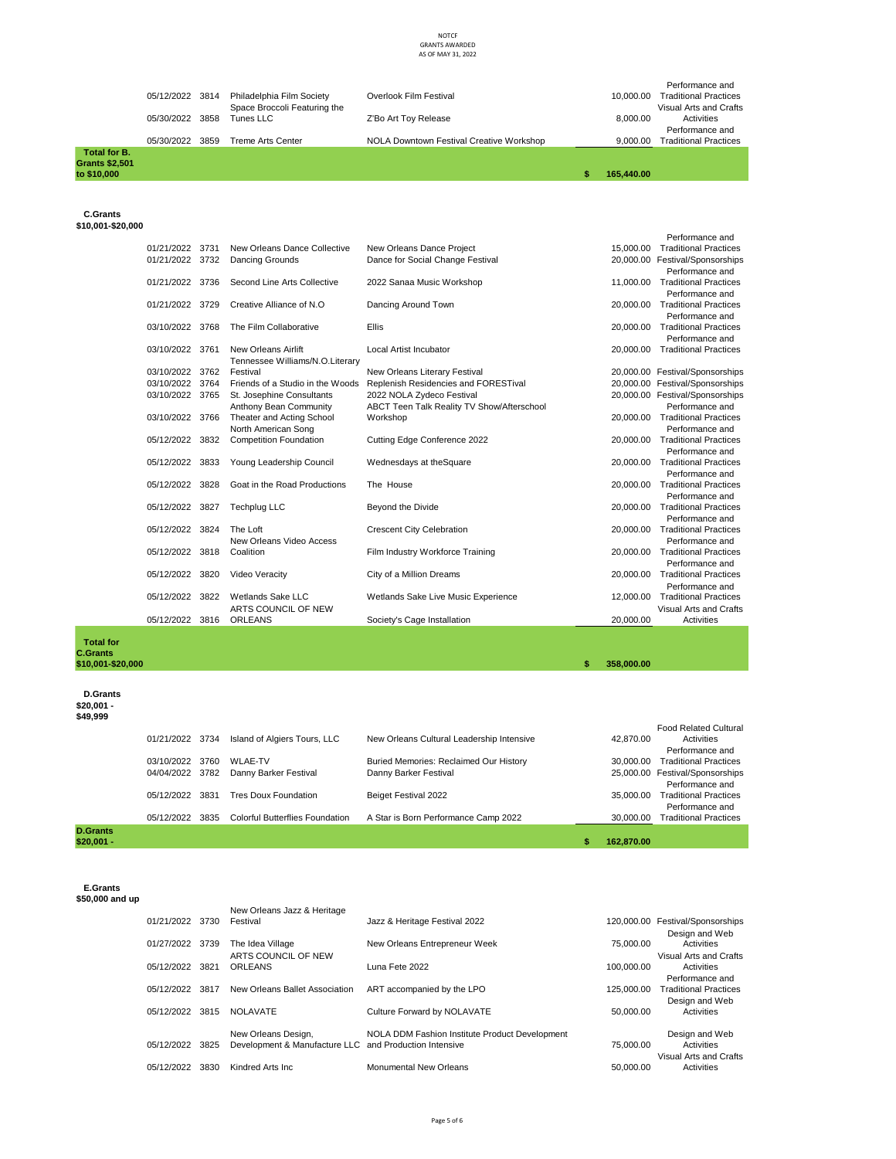| Total for B.<br>Grants \$2,501<br>to \$10.000 |                 |      |                                                           |                                          | 165,440.00 |                                                                           |
|-----------------------------------------------|-----------------|------|-----------------------------------------------------------|------------------------------------------|------------|---------------------------------------------------------------------------|
|                                               | 05/30/2022      | 3859 | Treme Arts Center                                         | NOLA Downtown Festival Creative Workshop | 9.000.00   | Performance and<br><b>Traditional Practices</b>                           |
|                                               | 05/30/2022 3858 |      | Tunes LLC                                                 | Z'Bo Art Toy Release                     | 8.000.00   | Activities                                                                |
|                                               | 05/12/2022 3814 |      | Philadelphia Film Society<br>Space Broccoli Featuring the | Overlook Film Festival                   | 10.000.00  | Performance and<br><b>Traditional Practices</b><br>Visual Arts and Crafts |

 **C.Grants \$10,001-\$20,000**

> 01/21/2022 3731 New Orleans Dance Collective New Orleans Dance Project 15,000.00 Traditional Practices 15,000.00 Traditional Practices 15,000.00 Traditional Practices 15,000.00 Traditional Practices 15,000.00 Testival/Spon Performance and 15,000.00 Traditional Practices 01/21/2022 3732 Dancing Grounds 01/21/2022 3736 Second Line Arts Collective 2022 Sanaa Music Workshop Performance and 11,000.00 Traditional Practices 01/21/2022 3729 Creative Alliance of N.O Dancing Around Town Performance and 20,000,00 Traditional Practices 03/10/2022 3768 The Film Collaborative Filis Performance and 20,000,00 Traditional Practices 03/10/2022 3761 New Orleans Airlift Local Artist Incubator Performance and 20,000.00 Traditional Practices 03/10/2022 3762<br>03/10/2022 3764 Tennessee Williams/N.O.Literary Festival 1990 (New Orleans Literary Festival 1990)<br>Friends of a Studio in the Woods Replenish Residencies and FORESTival 20,000.00 Festival/Sponsorships 03/10/2022 3764 Friends of a Studio in the Woods Replenish Residencies and FORESTival<br>03/10/2022 3765 St. Josephine Consultants 2022 NOLA Zydeco Festival 20,000.00 Festival/Sponsorships 03/10/2022 3766 Anthony Bean Community Theater and Acting School ABCT Teen Talk Reality TV Show/Afterschool 20,000.00 Performance and Traditional Practices 05/12/2022 3832 North American Song<br>Competition Foundation Cutting Edge Conference 2022 Performance and 20,000.00 Traditional Practices 05/12/2022 3833 Young Leadership Council Wednesdays at the Square Performance and 20,000.00 Traditional Practices 05/12/2022 3828 Goat in the Road Productions The House Performance and 20,000.00 Traditional Practices 05/12/2022 3827 Techplug LLC Beyond the Divide Performance and 20,000.00 Traditional Practices 05/12/2022 3824 The Loft Crescent City Celebration Performance and 20,000.00 Traditional Practices 05/12/2022 3818 New Orleans Video Access Film Industry Workforce Training Performance and 20,000.00 Traditional Practices 05/12/2022 3820 Video Veracity City of a Million Dreams Performance and 20,000,00 Traditional Practices 05/12/2022 3822 Wetlands Sake LLC Wetlands Sake Live Music Experience Performance and 12.000.00 Traditional Practices 05/12/2022 3816 ARTS COUNCIL OF NEW Society's Cage Installation 20,000.00 Visual Arts and Crafts Activities

 **Total for C.Grants \$10,001-\$20,000 \$ 358,000.00** 

 **D.Grants \$20,001 -** 

**\$49,999**

| <b>D.Grants</b><br>\$20.001 - |                 |      |                                        |                                           | S | 162.870.00 |                                                 |
|-------------------------------|-----------------|------|----------------------------------------|-------------------------------------------|---|------------|-------------------------------------------------|
|                               | 05/12/2022      | 3835 | <b>Colorful Butterflies Foundation</b> | A Star is Born Performance Camp 2022      |   | 30,000,00  | Performance and<br><b>Traditional Practices</b> |
|                               | 05/12/2022      | 3831 | <b>Tres Doux Foundation</b>            | Beiget Festival 2022                      |   | 35,000,00  | Performance and<br><b>Traditional Practices</b> |
|                               | 04/04/2022 3782 |      | Danny Barker Festival                  | Danny Barker Festival                     |   |            | 25,000.00 Festival/Sponsorships                 |
|                               | 03/10/2022      | 3760 | <b>WLAE-TV</b>                         | Buried Memories: Reclaimed Our History    |   | 30.000.00  | Performance and<br><b>Traditional Practices</b> |
|                               | 01/21/2022 3734 |      | Island of Algiers Tours, LLC           | New Orleans Cultural Leadership Intensive |   | 42.870.00  | <b>Food Related Cultural</b><br>Activities      |
| JZU,UU I -<br>\$49,999        |                 |      |                                        |                                           |   |            |                                                 |

 **E.Grants** 

**\$50,000 and up**

|                 |      | New Orleans Jazz & Heritage                            |                                                |            |                                  |
|-----------------|------|--------------------------------------------------------|------------------------------------------------|------------|----------------------------------|
| 01/21/2022 3730 |      | Festival                                               | Jazz & Heritage Festival 2022                  |            | 120,000.00 Festival/Sponsorships |
|                 |      |                                                        |                                                |            | Design and Web                   |
| 01/27/2022 3739 |      | The Idea Village                                       | New Orleans Entrepreneur Week                  | 75,000.00  | Activities                       |
|                 |      | ARTS COUNCIL OF NEW                                    |                                                |            | Visual Arts and Crafts           |
| 05/12/2022 3821 |      | ORLEANS                                                | Luna Fete 2022                                 | 100.000.00 | Activities                       |
|                 |      |                                                        |                                                |            | Performance and                  |
| 05/12/2022 3817 |      | New Orleans Ballet Association                         | ART accompanied by the LPO                     | 125.000.00 | <b>Traditional Practices</b>     |
|                 |      |                                                        |                                                |            | Design and Web                   |
|                 |      |                                                        |                                                |            |                                  |
| 05/12/2022 3815 |      | NOLAVATE                                               | Culture Forward by NOLAVATE                    | 50.000.00  | Activities                       |
|                 |      |                                                        |                                                |            |                                  |
|                 |      | New Orleans Design,                                    | NOLA DDM Fashion Institute Product Development |            | Design and Web                   |
| 05/12/2022      | 3825 | Development & Manufacture LLC and Production Intensive |                                                | 75,000.00  | Activities                       |
|                 |      |                                                        |                                                |            | Visual Arts and Crafts           |
| 05/12/2022      | 3830 | Kindred Arts Inc.                                      | <b>Monumental New Orleans</b>                  | 50.000.00  | Activities                       |
|                 |      |                                                        |                                                |            |                                  |